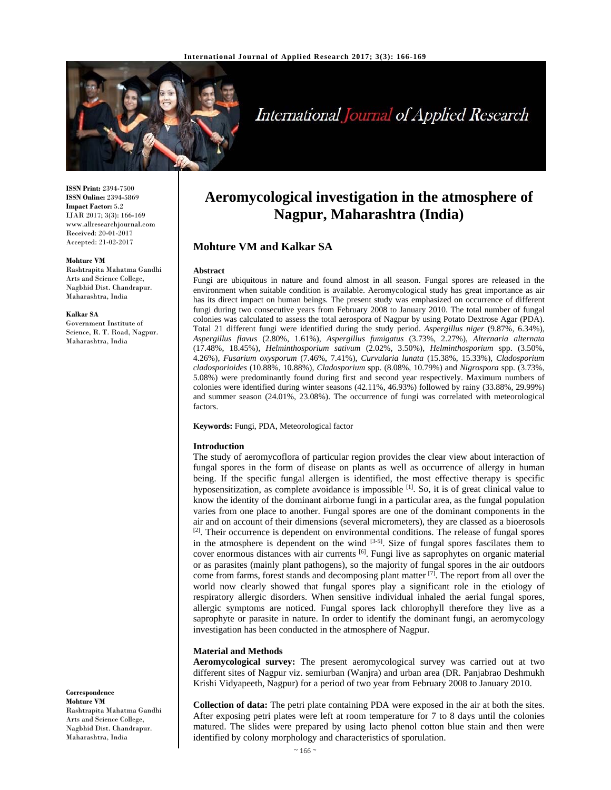

# International Journal of Applied Research

**ISSN Print:** 2394-7500 **ISSN Online:** 2394-5869 **Impact Factor:** 5.2 IJAR 2017; 3(3): 166-169 www.allresearchjournal.com Received: 20-01-2017 Accepted: 21-02-2017

#### **Mohture VM**

Rashtrapita Mahatma Gandhi Arts and Science College, Nagbhid Dist. Chandrapur. Maharashtra, India

#### **Kalkar SA**

Government Institute of Science, R. T. Road, Nagpur. Maharashtra, India

**Correspondence Mohture VM**  Rashtrapita Mahatma Gandhi Arts and Science College, Nagbhid Dist. Chandrapur. Maharashtra, India

# **Aeromycological investigation in the atmosphere of Nagpur, Maharashtra (India)**

# **Mohture VM and Kalkar SA**

#### **Abstract**

Fungi are ubiquitous in nature and found almost in all season. Fungal spores are released in the environment when suitable condition is available. Aeromycological study has great importance as air has its direct impact on human beings. The present study was emphasized on occurrence of different fungi during two consecutive years from February 2008 to January 2010. The total number of fungal colonies was calculated to assess the total aerospora of Nagpur by using Potato Dextrose Agar (PDA). Total 21 different fungi were identified during the study period. *Aspergillus niger* (9.87%, 6.34%), *Aspergillus flavus* (2.80%, 1.61%), *Aspergillus fumigatus* (3.73%, 2.27%), *Alternaria alternata* (17.48%, 18.45%), *Helminthosporium sativum* (2.02%, 3.50%), *Helminthosporium* spp. (3.50%, 4.26%), *Fusarium oxysporum* (7.46%, 7.41%), *Curvularia lunata* (15.38%, 15.33%), *Cladosporium cladosporioides* (10.88%, 10.88%), *Cladosporium* spp. (8.08%, 10.79%) and *Nigrospora* spp. (3.73%, 5.08%) were predominantly found during first and second year respectively. Maximum numbers of colonies were identified during winter seasons (42.11%, 46.93%) followed by rainy (33.88%, 29.99%) and summer season (24.01%, 23.08%). The occurrence of fungi was correlated with meteorological factors.

**Keywords:** Fungi, PDA, Meteorological factor

## **Introduction**

The study of aeromycoflora of particular region provides the clear view about interaction of fungal spores in the form of disease on plants as well as occurrence of allergy in human being. If the specific fungal allergen is identified, the most effective therapy is specific hyposensitization, as complete avoidance is impossible  $[1]$ . So, it is of great clinical value to know the identity of the dominant airborne fungi in a particular area, as the fungal population varies from one place to another. Fungal spores are one of the dominant components in the air and on account of their dimensions (several micrometers), they are classed as a bioerosols  $[2]$ . Their occurrence is dependent on environmental conditions. The release of fungal spores in the atmosphere is dependent on the wind  $[3-5]$ . Size of fungal spores fascilates them to cover enormous distances with air currents <sup>[6]</sup>. Fungi live as saprophytes on organic material or as parasites (mainly plant pathogens), so the majority of fungal spores in the air outdoors come from farms, forest stands and decomposing plant matter [7]. The report from all over the world now clearly showed that fungal spores play a significant role in the etiology of respiratory allergic disorders. When sensitive individual inhaled the aerial fungal spores, allergic symptoms are noticed. Fungal spores lack chlorophyll therefore they live as a saprophyte or parasite in nature. In order to identify the dominant fungi, an aeromycology investigation has been conducted in the atmosphere of Nagpur.

# **Material and Methods**

**Aeromycological survey:** The present aeromycological survey was carried out at two different sites of Nagpur viz. semiurban (Wanjra) and urban area (DR. Panjabrao Deshmukh Krishi Vidyapeeth, Nagpur) for a period of two year from February 2008 to January 2010.

**Collection of data:** The petri plate containing PDA were exposed in the air at both the sites. After exposing petri plates were left at room temperature for 7 to 8 days until the colonies matured. The slides were prepared by using lacto phenol cotton blue stain and then were identified by colony morphology and characteristics of sporulation.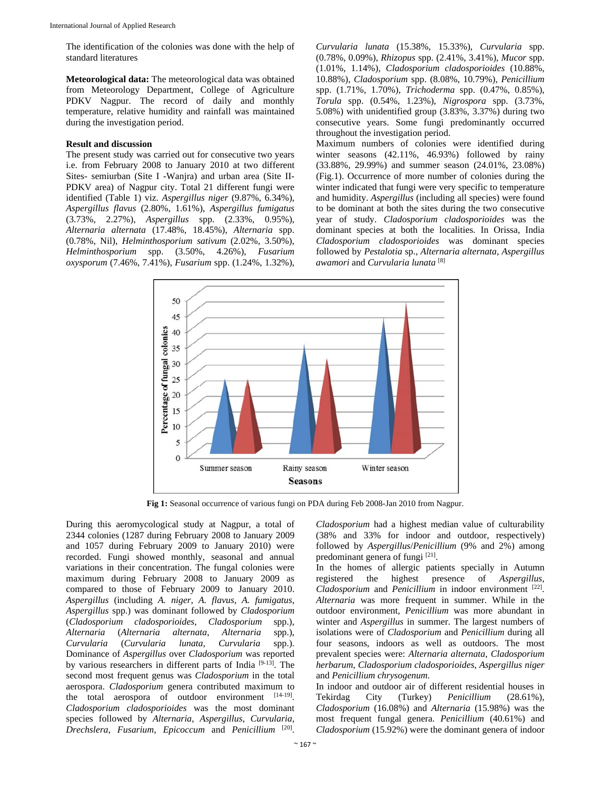The identification of the colonies was done with the help of standard literatures

**Meteorological data:** The meteorological data was obtained from Meteorology Department, College of Agriculture PDKV Nagpur. The record of daily and monthly temperature, relative humidity and rainfall was maintained during the investigation period.

# **Result and discussion**

The present study was carried out for consecutive two years i.e. from February 2008 to January 2010 at two different Sites- semiurban (Site I -Wanjra) and urban area (Site II-PDKV area) of Nagpur city. Total 21 different fungi were identified (Table 1) viz. *Aspergillus niger* (9.87%, 6.34%), *Aspergillus flavus* (2.80%, 1.61%), *Aspergillus fumigatus* (3.73%, 2.27%), *Aspergillus* spp. (2.33%, 0.95%), *Alternaria alternata* (17.48%, 18.45%), *Alternaria* spp. (0.78%, Nil), *Helminthosporium sativum* (2.02%, 3.50%), *Helminthosporium* spp. (3.50%, 4.26%), *Fusarium oxysporum* (7.46%, 7.41%), *Fusarium* spp. (1.24%, 1.32%), *Curvularia lunata* (15.38%, 15.33%), *Curvularia* spp. (0.78%, 0.09%), *Rhizopus* spp. (2.41%, 3.41%), *Mucor* spp. (1.01%, 1.14%), *Cladosporium cladosporioides* (10.88%, 10.88%), *Cladosporium* spp. (8.08%, 10.79%), *Penicillium* spp. (1.71%, 1.70%), *Trichoderma* spp. (0.47%, 0.85%), *Torula* spp. (0.54%, 1.23%), *Nigrospora* spp. (3.73%, 5.08%) with unidentified group (3.83%, 3.37%) during two consecutive years. Some fungi predominantly occurred throughout the investigation period.

Maximum numbers of colonies were identified during winter seasons (42.11%, 46.93%) followed by rainy (33.88%, 29.99%) and summer season (24.01%, 23.08%) (Fig.1). Occurrence of more number of colonies during the winter indicated that fungi were very specific to temperature and humidity. *Aspergillus* (including all species) were found to be dominant at both the sites during the two consecutive year of study. *Cladosporium cladosporioides* was the dominant species at both the localities. In Orissa, India *Cladosporium cladosporioides* was dominant species followed by *Pestalotia* sp., *Alternaria alternata, Aspergillus awamori* and *Curvularia lunata* [8]



**Fig 1:** Seasonal occurrence of various fungi on PDA during Feb 2008-Jan 2010 from Nagpur.

During this aeromycological study at Nagpur, a total of 2344 colonies (1287 during February 2008 to January 2009 and 1057 during February 2009 to January 2010) were recorded. Fungi showed monthly, seasonal and annual variations in their concentration. The fungal colonies were maximum during February 2008 to January 2009 as compared to those of February 2009 to January 2010. *Aspergillus* (including *A. niger*, *A. flavus*, *A. fumigatus*, *Aspergillus* spp.) was dominant followed by *Cladosporium* (*Cladosporium cladosporioides*, *Cladosporium* spp.), *Alternaria* (*Alternaria alternata*, *Alternaria* spp.), *Curvularia* (*Curvularia lunata*, *Curvularia* spp.). Dominance of *Aspergillus* over *Cladosporium* was reported by various researchers in different parts of India  $[9-13]$ . The second most frequent genus was *Cladosporium* in the total aerospora. *Cladosporium* genera contributed maximum to the total aerospora of outdoor environment [14-19]. *Cladosporium cladosporioides* was the most dominant species followed by *Alternaria*, *Aspergillus*, *Curvularia*, *Drechslera*, *Fusarium*, *Epicoccum* and *Penicillium* [20].

*Cladosporium* had a highest median value of culturability (38% and 33% for indoor and outdoor, respectively) followed by *Aspergillus*/*Penicillium* (9% and 2%) among predominant genera of fungi [21].

In the homes of allergic patients specially in Autumn registered the highest presence of *Aspergillus*, *Cladosporium* and *Penicillium* in indoor environment [22]. *Alternaria* was more frequent in summer. While in the outdoor environment, *Penicillium* was more abundant in winter and *Aspergillus* in summer. The largest numbers of isolations were of *Cladosporium* and *Penicillium* during all four seasons, indoors as well as outdoors. The most prevalent species were: *Alternaria alternata*, *Cladosporium herbarum*, *Cladosporium cladosporioides*, *Aspergillus niger* and *Penicillium chrysogenum*.

In indoor and outdoor air of different residential houses in Tekirdag City (Turkey) *Penicillium* (28.61%), *Cladosporium* (16.08%) and *Alternaria* (15.98%) was the most frequent fungal genera. *Penicillium* (40.61%) and *Cladosporium* (15.92%) were the dominant genera of indoor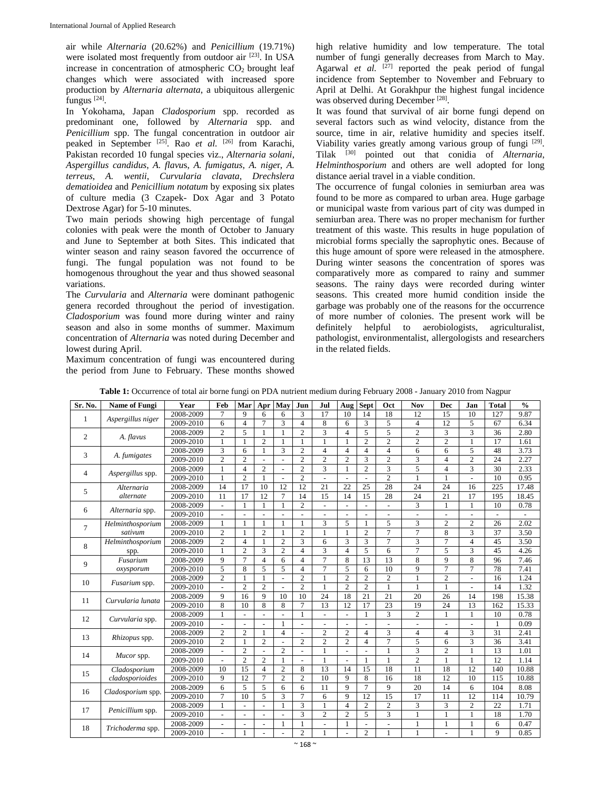air while *Alternaria* (20.62%) and *Penicillium* (19.71%) were isolated most frequently from outdoor air [23]. In USA increase in concentration of atmospheric  $CO<sub>2</sub>$  brought leaf changes which were associated with increased spore production by *Alternaria alternata*, a ubiquitous allergenic fungus [24].

In Yokohama, Japan *Cladosporium* spp. recorded as predominant one, followed by *Alternaria* spp. and *Penicillium* spp. The fungal concentration in outdoor air peaked in September [25]. Rao *et al.* [26] from Karachi, Pakistan recorded 10 fungal species viz., *Alternaria solani*, *Aspergillus candidus*, *A. flavu*s, *A. fumigatus*, *A. nige*r, *A. terreus*, *A. wentii*, *Curvularia clavata*, *Drechslera dematioidea* and *Penicillium notatum* by exposing six plates of culture media (3 Czapek- Dox Agar and 3 Potato Dextrose Agar) for 5-10 minutes.

Two main periods showing high percentage of fungal colonies with peak were the month of October to January and June to September at both Sites. This indicated that winter season and rainy season favored the occurrence of fungi. The fungal population was not found to be homogenous throughout the year and thus showed seasonal variations.

The *Curvularia* and *Alternaria* were dominant pathogenic genera recorded throughout the period of investigation. *Cladosporium* was found more during winter and rainy season and also in some months of summer. Maximum concentration of *Alternaria* was noted during December and lowest during April.

Maximum concentration of fungi was encountered during the period from June to February. These months showed high relative humidity and low temperature. The total number of fungi generally decreases from March to May. Agarwal *et al.*  $\begin{bmatrix} 27 \\ 1 \end{bmatrix}$  reported the peak period of fungal incidence from September to November and February to April at Delhi. At Gorakhpur the highest fungal incidence was observed during December<sup>[28]</sup>.

It was found that survival of air borne fungi depend on several factors such as wind velocity, distance from the source, time in air, relative humidity and species itself. Viability varies greatly among various group of fungi [29]. Tilak [30] pointed out that conidia of *Alternaria*, *Helminthosporium* and others are well adopted for long distance aerial travel in a viable condition.

The occurrence of fungal colonies in semiurban area was found to be more as compared to urban area. Huge garbage or municipal waste from various part of city was dumped in semiurban area. There was no proper mechanism for further treatment of this waste. This results in huge population of microbial forms specially the saprophytic ones. Because of this huge amount of spore were released in the atmosphere. During winter seasons the concentration of spores was comparatively more as compared to rainy and summer seasons. The rainy days were recorded during winter seasons. This created more humid condition inside the garbage was probably one of the reasons for the occurrence of more number of colonies. The present work will be definitely helpful to aerobiologists, agriculturalist, pathologist, environmentalist, allergologists and researchers in the related fields.

| Sr. No.        | <b>Name of Fungi</b>            | Year          | Feb                      | Mar                      | Apr                      | May            | Jun                      | Jul                      | Aug                      | <b>Sept</b>    | Oct            | <b>Nov</b>     | <b>Dec</b>     | Jan            | <b>Total</b> | $\frac{0}{0}$ |
|----------------|---------------------------------|---------------|--------------------------|--------------------------|--------------------------|----------------|--------------------------|--------------------------|--------------------------|----------------|----------------|----------------|----------------|----------------|--------------|---------------|
| 1              | Aspergillus niger               | 2008-2009     | $\tau$                   | $\mathbf Q$              | 6                        | 6              | 3                        | 17                       | 10                       | 14             | 18             | 12             | 15             | 10             | 127          | 9.87          |
|                |                                 | 2009-2010     | 6                        | $\overline{4}$           | $\overline{7}$           | 3              | $\overline{4}$           | 8                        | 6                        | 3              | 5              | $\overline{4}$ | 12             | 5              | 67           | 6.34          |
| $\overline{2}$ | A. flavus                       | 2008-2009     | $\overline{2}$           | 5                        | 1                        |                | $\overline{2}$           | 3                        | $\overline{4}$           | 5              | 5              | $\overline{c}$ | 3              | 3              | 36           | 2.80          |
|                |                                 | 2009-2010     | 1                        | 1                        | $\overline{c}$           | 1              | 1                        | 1                        | 1                        | $\overline{c}$ | $\overline{2}$ | $\overline{c}$ | $\overline{c}$ | 1              | 17           | 1.61          |
| 3              | A. fumigates                    | 2008-2009     | 3                        | 6                        | 1                        | 3              | $\overline{c}$           | $\overline{4}$           | $\overline{4}$           | $\overline{4}$ | $\overline{4}$ | 6              | 6              | 5              | 48           | 3.73          |
|                |                                 | 2009-2010     | $\overline{2}$           | $\overline{2}$           |                          |                | $\overline{2}$           | $\overline{2}$           | $\overline{2}$           | 3              | $\overline{2}$ | 3              | $\overline{4}$ | $\overline{2}$ | 24           | 2.27          |
| $\overline{4}$ | Aspergillus spp.                | 2008-2009     | 1                        | $\overline{4}$           | $\overline{2}$           |                | $\overline{2}$           | 3                        | -1                       | $\overline{2}$ | 3              | 5              | $\overline{4}$ | 3              | 30           | 2.33          |
|                |                                 | 2009-2010     | $\mathbf{1}$             | $\overline{2}$           | 1                        |                | $\overline{c}$           | $\overline{\phantom{a}}$ | $\overline{a}$           | $\overline{a}$ | $\overline{2}$ |                | 1              | $\overline{a}$ | 10           | 0.95          |
| 5              | Alternaria                      | 2008-2009     | 14                       | 17                       | 10                       | 12             | 12                       | 21                       | 22                       | 25             | 28             | 24             | 24             | 16             | 225          | 17.48         |
|                | alternate                       | 2009-2010     | 11                       | 17                       | 12                       | $\overline{7}$ | 14                       | 15                       | 14                       | 15             | 28             | 24             | 21             | 17             | 195          | 18.45         |
| 6              | Alternaria spp.                 | 2008-2009     | $\overline{a}$           | $\mathbf{1}$             | 1                        |                | $\overline{2}$           | $\overline{a}$           |                          | L.             | $\overline{a}$ | 3              | $\mathbf{1}$   | $\mathbf{1}$   | 10           | 0.78          |
|                |                                 | 2009-2010     | ÷.                       |                          |                          |                |                          |                          |                          |                | ÷,             | $\overline{a}$ |                |                |              |               |
| $\overline{7}$ | Helminthosporium                | 2008-2009     | 1                        | $\mathbf{1}$             | 1                        | 1              |                          | 3                        | 5                        |                | 5              | 3              | $\overline{2}$ | $\overline{2}$ | 26           | 2.02          |
|                | sativum                         | 2009-2010     | $\overline{2}$           | $\mathbf{1}$             | $\overline{c}$           |                | $\overline{c}$           | $\mathbf{1}$             |                          | $\overline{2}$ | $\overline{7}$ | $\overline{7}$ | 8              | 3              | 37           | 3.50          |
| 8              | Helminthosporium<br>spp.        | 2008-2009     | $\overline{c}$           | $\overline{4}$           | 1                        | $\overline{2}$ | 3                        | 6                        | 3                        | 3              | $\overline{7}$ | 3              | $\overline{7}$ | $\overline{4}$ | 45           | 3.50          |
|                |                                 | 2009-2010     | $\mathbf{1}$             | $\overline{c}$           | 3                        | $\mathfrak{2}$ | 4                        | 3                        | $\overline{4}$           | 5              | 6              | $\overline{7}$ | 5              | 3              | 45           | 4.26          |
| 9              | Fusarium                        | 2008-2009     | $\mathbf{Q}$             | $\overline{7}$           | $\overline{4}$           | 6              | 4                        | $\overline{7}$           | 8                        | 13             | 13             | 8              | 9              | 8              | 96           | 7.46          |
|                | oxysporum                       | 2009-2010     | 5                        | 8                        | 5                        | 5              | 4                        | $\overline{7}$           | 5                        | 6              | 10             | 9              | $\overline{7}$ | 7              | 78           | 7.41          |
| 10             | Fusarium spp.                   | 2008-2009     | $\overline{c}$           | $\mathbf{1}$             | 1                        | $\sim$         | $\overline{2}$           | $\mathbf{1}$             | 2                        | $\mathfrak{2}$ | $\overline{c}$ | 1              | $\overline{c}$ | $\overline{a}$ | 16           | 1.24          |
|                |                                 | 2009-2010     | $\overline{a}$           | $\mathfrak{2}$           | $\overline{c}$           | $\sim$         | $\overline{2}$           | $\mathbf{1}$             | $\mathfrak{2}$           | $\overline{2}$ | $\mathbf{1}$   | 1              | $\mathbf{1}$   | $\overline{a}$ | 14           | 1.32          |
|                | Curvularia lunata               | 2008-2009     | 9                        | 16                       | 9                        | 10             | 10                       | 24                       | 18                       | 21             | 21             | 20             | 26             | 14             | 198          | 15.38         |
| 11             |                                 | $2009 - 2010$ | 8                        | 10                       | 8                        | 8              | $\tau$                   | 13                       | 12                       | 17             | 23             | 19             | 24             | 13             | 162          | 15.33         |
| 12             | Curvularia spp.                 | 2008-2009     | 1                        | ÷,                       | $\overline{a}$           |                |                          | $\overline{\phantom{a}}$ | $\overline{\phantom{a}}$ |                | 3              | $\overline{c}$ | 1              | 1              | 10           | 0.78          |
|                |                                 | 2009-2010     | $\frac{1}{2}$            | $\sim$                   | $\overline{a}$           | 1              | ÷,                       | $\overline{\phantom{a}}$ | $\sim$                   | ÷,             | $\overline{a}$ | ÷.             | ÷,             | $\overline{a}$ | 1            | 0.09          |
| 13             | Rhizopus spp.                   | 2008-2009     | $\overline{2}$           | 2                        | 1                        | $\overline{4}$ | $\overline{\phantom{a}}$ | $\overline{2}$           | 2                        | $\overline{4}$ | 3              | $\overline{4}$ | $\overline{4}$ | 3              | 31           | 2.41          |
|                |                                 | 2009-2010     | $\overline{c}$           | 1                        | $\overline{2}$           | $\sim$         | $\overline{2}$           | $\overline{c}$           | $\overline{2}$           | $\overline{4}$ | $\overline{7}$ | 5              | 6              | 3              | 36           | 3.41          |
| 14             | Mucor spp.                      | 2008-2009     | $\overline{\phantom{a}}$ | $\mathfrak{2}$           | $\overline{a}$           | 2              |                          | 1                        | $\overline{a}$           | ÷,             | 1              | 3              | $\overline{2}$ | 1              | 13           | 1.01          |
|                |                                 | 2009-2010     | $\overline{\phantom{a}}$ | $\mathfrak{2}$           | $\overline{c}$           |                | $\overline{\phantom{a}}$ | $\mathbf{1}$             | $\sim$                   |                | $\mathbf{1}$   | $\overline{c}$ | $\mathbf{1}$   | $\mathbf{1}$   | 12           | 1.14          |
| 15             | Cladosporium<br>cladosporioides | 2008-2009     | 10                       | 15                       | $\overline{4}$           | $\overline{c}$ | 8                        | 13                       | 14                       | 15             | 18             | 11             | 18             | 12             | 140          | 10.88         |
|                |                                 | 2009-2010     | 9                        | 12                       | $\tau$                   | 2              | $\overline{2}$           | 10                       | $\mathbf Q$              | 8              | 16             | 18             | 12             | 10             | 115          | 10.88         |
| 16             | Cladosporium spp.               | 2008-2009     | 6                        | 5                        | 5                        | 6              | 6                        | 11                       | $\mathbf Q$              | $\tau$         | 9              | 20             | 14             | 6              | 104          | 8.08          |
|                |                                 | 2009-2010     | $\tau$                   | 10                       | 5                        | 3              | 7                        | 6                        | 9                        | 12             | 15             | 17             | 11             | 12             | 114          | 10.79         |
| 17             |                                 | 2008-2009     | 1                        | $\overline{a}$           | ÷.                       | 1              | 3                        | 1                        | $\overline{4}$           | 2              | $\overline{c}$ | 3              | 3              | $\overline{2}$ | 22           | 1.71          |
|                | Penicillium spp.                | 2009-2010     | $\blacksquare$           | $\blacksquare$           | $\blacksquare$           | $\blacksquare$ | 3                        | 2                        | $\overline{c}$           | 5              | 3              | 1              | 1              | 1              | 18           | 1.70          |
| 18             | Trichoderma spp.                | 2008-2009     | $\overline{\phantom{a}}$ | $\overline{\phantom{a}}$ | $\overline{\phantom{a}}$ | 1              | 1                        | $\overline{\phantom{a}}$ | 1                        | ÷,             | ÷,             | 1              | 1              | 1              | 6            | 0.47          |
|                |                                 | 2009-2010     | $\blacksquare$           | 1                        |                          |                | $\overline{2}$           | 1                        | $\sim$                   | 2              | 1              | 1              |                | 1              | 9            | 0.85          |

**Table 1:** Occurrence of total air borne fungi on PDA nutrient medium during February 2008 - January 2010 from Nagpur